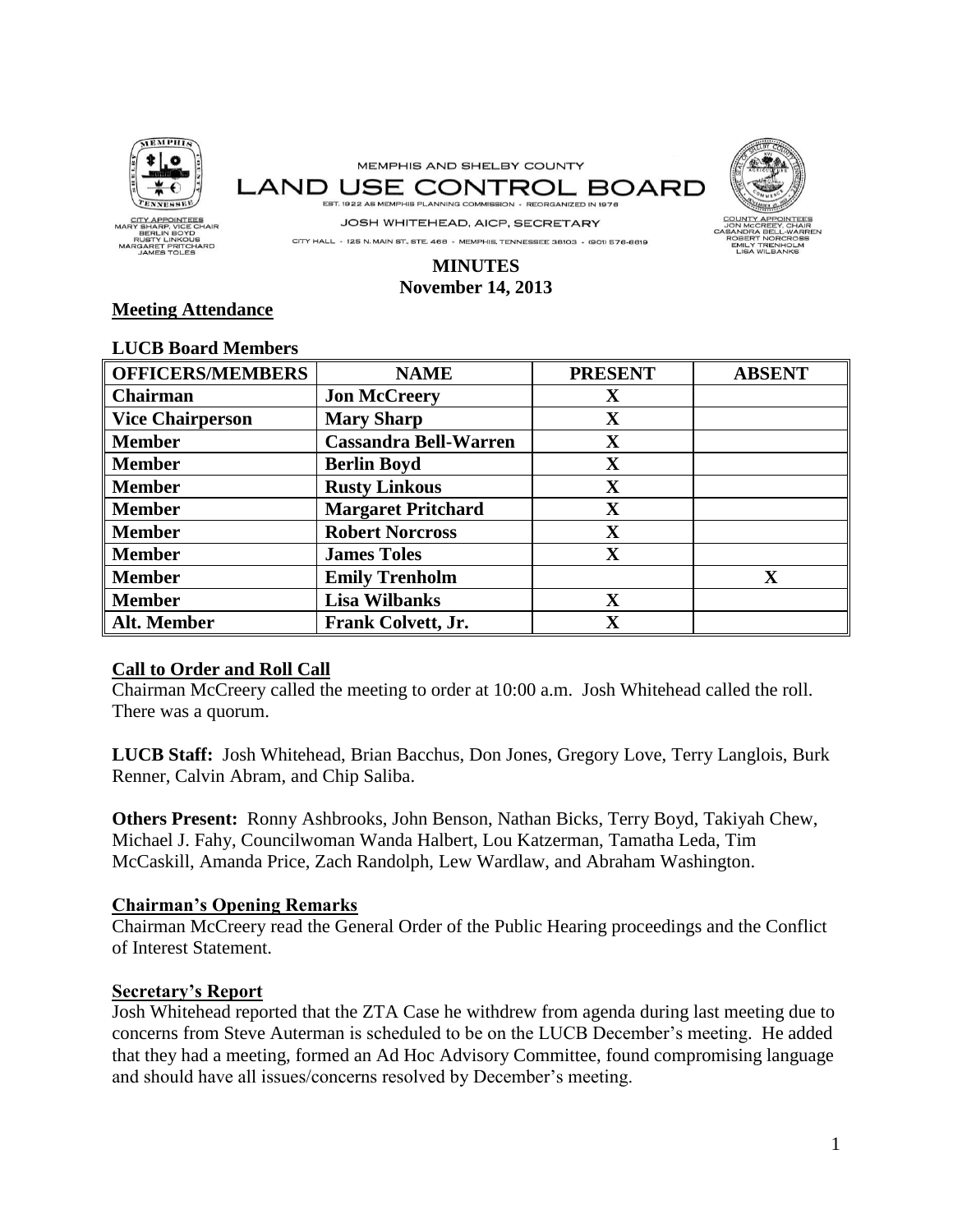

# **MINUTES November 14, 2013**

# **Meeting Attendance**

| <b>OFFICERS/MEMBERS</b> | <b>NAME</b>                  | <b>PRESENT</b>          | <b>ABSENT</b> |
|-------------------------|------------------------------|-------------------------|---------------|
| Chairman                | <b>Jon McCreery</b>          | $\mathbf X$             |               |
| <b>Vice Chairperson</b> | <b>Mary Sharp</b>            | $\mathbf X$             |               |
| <b>Member</b>           | <b>Cassandra Bell-Warren</b> | $\mathbf X$             |               |
| <b>Member</b>           | <b>Berlin Boyd</b>           | $\mathbf X$             |               |
| <b>Member</b>           | <b>Rusty Linkous</b>         | $\mathbf X$             |               |
| <b>Member</b>           | <b>Margaret Pritchard</b>    | $\mathbf X$             |               |
| <b>Member</b>           | <b>Robert Norcross</b>       | $\mathbf X$             |               |
| <b>Member</b>           | <b>James Toles</b>           | $\mathbf X$             |               |
| <b>Member</b>           | <b>Emily Trenholm</b>        |                         | X             |
| <b>Member</b>           | <b>Lisa Wilbanks</b>         | $\mathbf X$             |               |
| Alt. Member             | Frank Colvett, Jr.           | $\overline{\mathbf{X}}$ |               |

#### **LUCB Board Members**

# **Call to Order and Roll Call**

Chairman McCreery called the meeting to order at 10:00 a.m. Josh Whitehead called the roll. There was a quorum.

**LUCB Staff:** Josh Whitehead, Brian Bacchus, Don Jones, Gregory Love, Terry Langlois, Burk Renner, Calvin Abram, and Chip Saliba.

**Others Present:** Ronny Ashbrooks, John Benson, Nathan Bicks, Terry Boyd, Takiyah Chew, Michael J. Fahy, Councilwoman Wanda Halbert, Lou Katzerman, Tamatha Leda, Tim McCaskill, Amanda Price, Zach Randolph, Lew Wardlaw, and Abraham Washington.

### **Chairman's Opening Remarks**

Chairman McCreery read the General Order of the Public Hearing proceedings and the Conflict of Interest Statement.

## **Secretary's Report**

Josh Whitehead reported that the ZTA Case he withdrew from agenda during last meeting due to concerns from Steve Auterman is scheduled to be on the LUCB December's meeting. He added that they had a meeting, formed an Ad Hoc Advisory Committee, found compromising language and should have all issues/concerns resolved by December's meeting.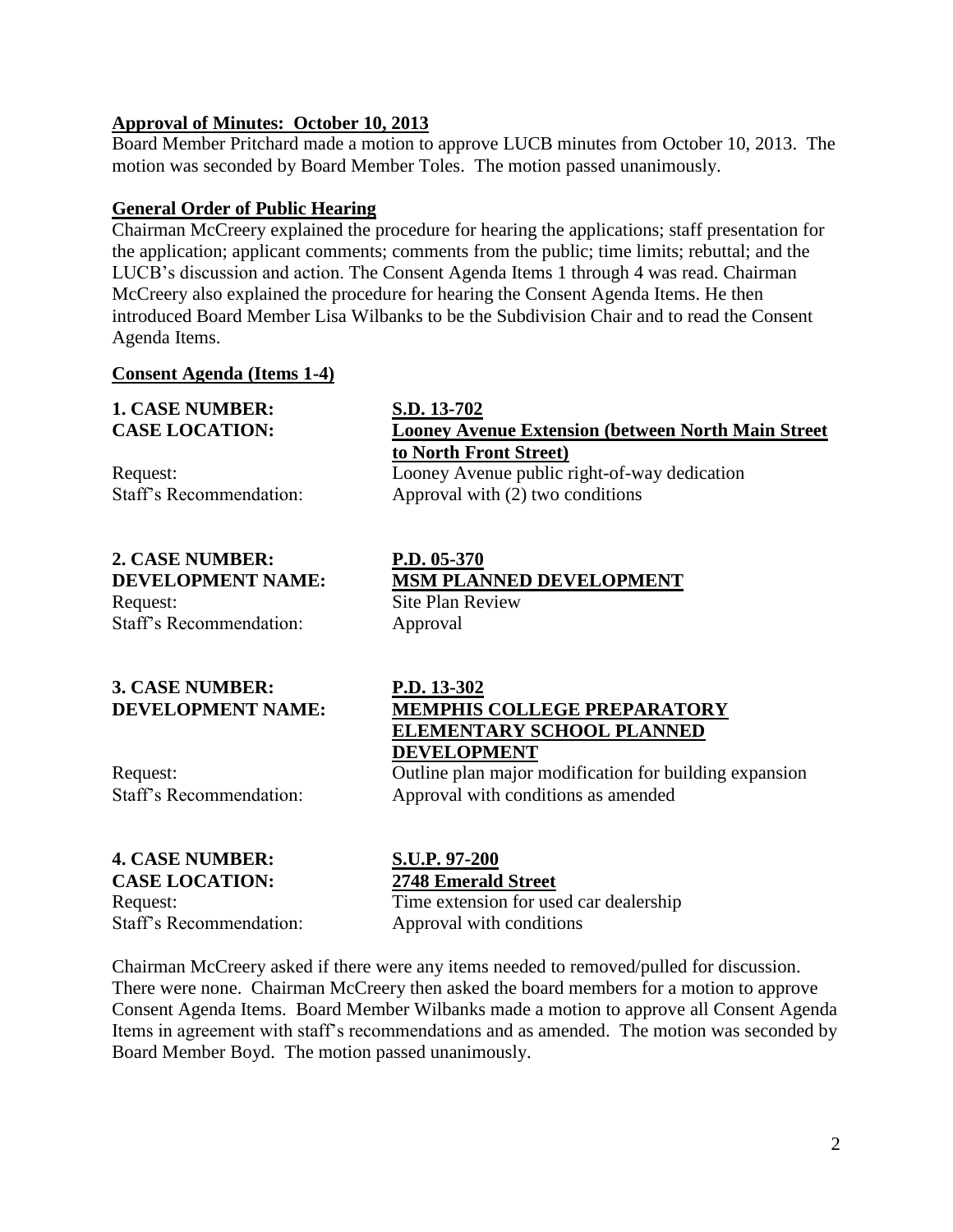## **Approval of Minutes: October 10, 2013**

Board Member Pritchard made a motion to approve LUCB minutes from October 10, 2013. The motion was seconded by Board Member Toles. The motion passed unanimously.

# **General Order of Public Hearing**

Chairman McCreery explained the procedure for hearing the applications; staff presentation for the application; applicant comments; comments from the public; time limits; rebuttal; and the LUCB's discussion and action. The Consent Agenda Items 1 through 4 was read. Chairman McCreery also explained the procedure for hearing the Consent Agenda Items. He then introduced Board Member Lisa Wilbanks to be the Subdivision Chair and to read the Consent Agenda Items.

### **Consent Agenda (Items 1-4)**

# **1. CASE NUMBER: S.D. 13-702**

# **2. CASE NUMBER: P.D. 05-370**

Request: Site Plan Review Staff's Recommendation: Approval

# **3. CASE NUMBER: P.D. 13-302**

# **4. CASE NUMBER: S.U.P. 97-200**

# **CASE LOCATION: 2748 Emerald Street**

Request: Time extension for used car dealership Staff's Recommendation: Approval with conditions

Chairman McCreery asked if there were any items needed to removed/pulled for discussion. There were none. Chairman McCreery then asked the board members for a motion to approve Consent Agenda Items. Board Member Wilbanks made a motion to approve all Consent Agenda Items in agreement with staff's recommendations and as amended. The motion was seconded by Board Member Boyd. The motion passed unanimously.

# **CASE LOCATION: Looney Avenue Extension (between North Main Street to North Front Street)** Request: Looney Avenue public right-of-way dedication

Staff's Recommendation: Approval with (2) two conditions

# **DEVELOPMENT NAME: MSM PLANNED DEVELOPMENT**

# **DEVELOPMENT NAME: MEMPHIS COLLEGE PREPARATORY ELEMENTARY SCHOOL PLANNED DEVELOPMENT**

Request: Outline plan major modification for building expansion Staff's Recommendation: Approval with conditions as amended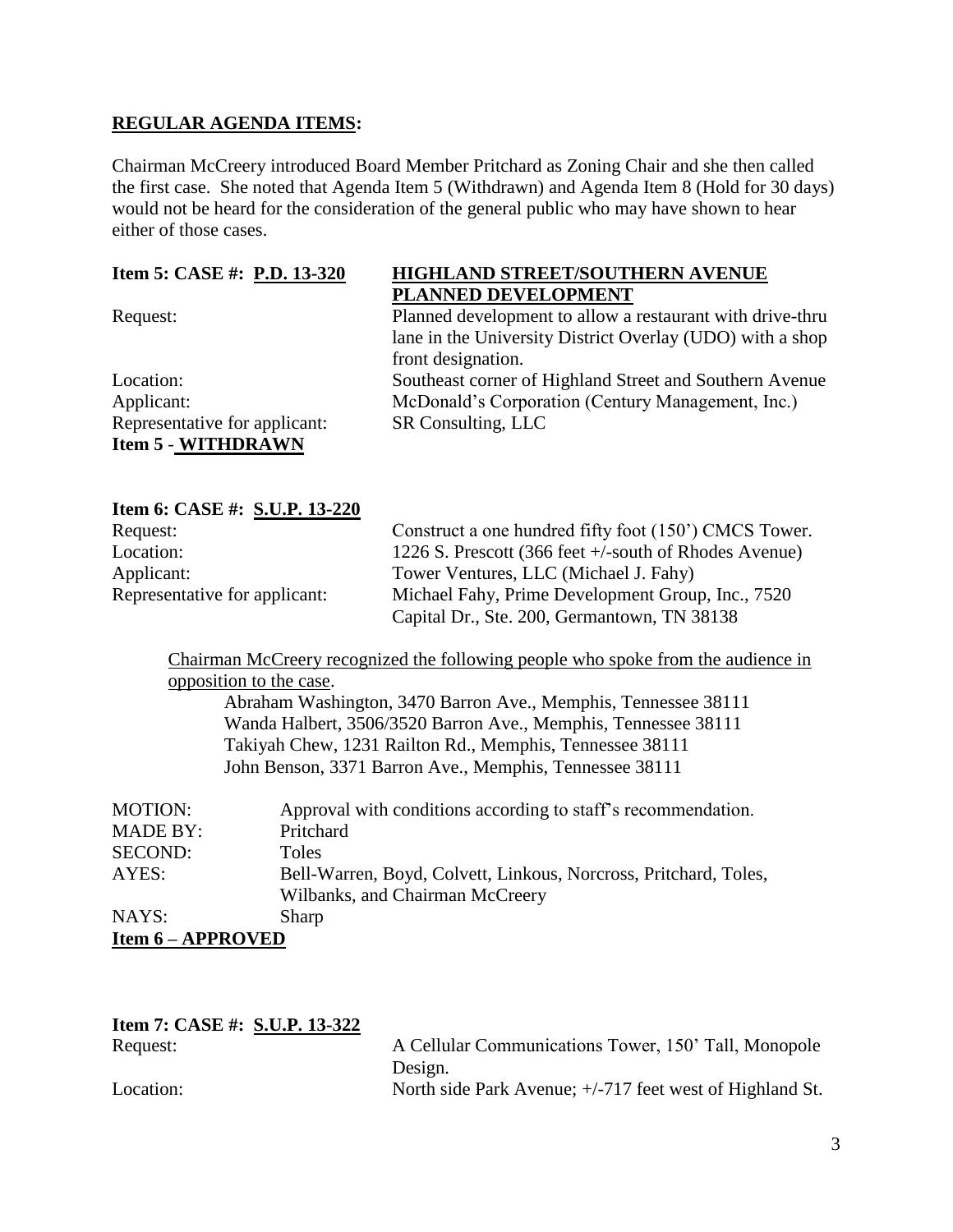## **REGULAR AGENDA ITEMS:**

Chairman McCreery introduced Board Member Pritchard as Zoning Chair and she then called the first case. She noted that Agenda Item 5 (Withdrawn) and Agenda Item 8 (Hold for 30 days) would not be heard for the consideration of the general public who may have shown to hear either of those cases.

| Item 5: CASE #: P.D. 13-320   | <b>HIGHLAND STREET/SOUTHERN AVENUE</b>                    |
|-------------------------------|-----------------------------------------------------------|
|                               | PLANNED DEVELOPMENT                                       |
| Request:                      | Planned development to allow a restaurant with drive-thru |
|                               | lane in the University District Overlay (UDO) with a shop |
|                               | front designation.                                        |
| Location:                     | Southeast corner of Highland Street and Southern Avenue   |
| Applicant:                    | McDonald's Corporation (Century Management, Inc.)         |
| Representative for applicant: | SR Consulting, LLC                                        |
| <b>Item 5 - WITHDRAWN</b>     |                                                           |

### **Item 6: CASE #: S.U.P. 13-220**

| Request:                      | Construct a one hundred fifty foot (150') CMCS Tower.    |
|-------------------------------|----------------------------------------------------------|
| Location:                     | 1226 S. Prescott (366 feet $+/-$ south of Rhodes Avenue) |
| Applicant:                    | Tower Ventures, LLC (Michael J. Fahy)                    |
| Representative for applicant: | Michael Fahy, Prime Development Group, Inc., 7520        |
|                               | Capital Dr., Ste. 200, Germantown, TN 38138              |

Chairman McCreery recognized the following people who spoke from the audience in opposition to the case.

Abraham Washington, 3470 Barron Ave., Memphis, Tennessee 38111 Wanda Halbert, 3506/3520 Barron Ave., Memphis, Tennessee 38111 Takiyah Chew, 1231 Railton Rd., Memphis, Tennessee 38111 John Benson, 3371 Barron Ave., Memphis, Tennessee 38111

| <b>MOTION:</b>           | Approval with conditions according to staff's recommendation.    |
|--------------------------|------------------------------------------------------------------|
| <b>MADE BY:</b>          | Pritchard                                                        |
| <b>SECOND:</b>           | <b>Toles</b>                                                     |
| AYES:                    | Bell-Warren, Boyd, Colvett, Linkous, Norcross, Pritchard, Toles, |
|                          | Wilbanks, and Chairman McCreery                                  |
| NAYS:                    | Sharp                                                            |
| <b>Item 6 – APPROVED</b> |                                                                  |

| Item 7: CASE #: S.U.P. 13-322 |                |
|-------------------------------|----------------|
| Request:                      | A Cellular Com |

munications Tower, 150' Tall, Monopole Design. Location: North side Park Avenue;  $+/-717$  feet west of Highland St.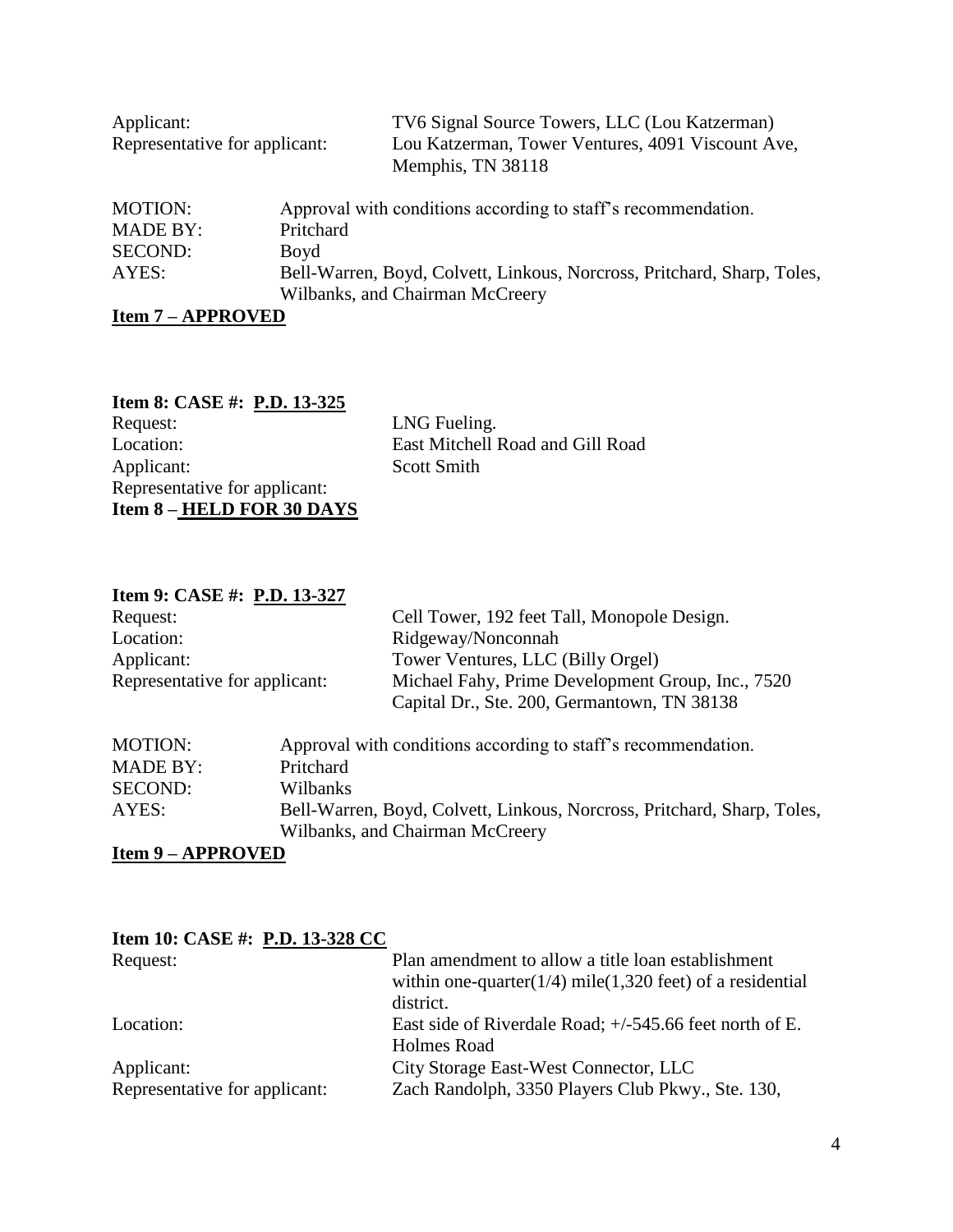| Applicant:<br>Representative for applicant: |                                 | TV6 Signal Source Towers, LLC (Lou Katzerman)<br>Lou Katzerman, Tower Ventures, 4091 Viscount Ave,<br>Memphis, TN 38118 |
|---------------------------------------------|---------------------------------|-------------------------------------------------------------------------------------------------------------------------|
| <b>MOTION:</b>                              |                                 | Approval with conditions according to staff's recommendation.                                                           |
| <b>MADE BY:</b>                             | Pritchard                       |                                                                                                                         |
| SECOND:                                     | Boyd                            |                                                                                                                         |
| AYES:                                       | Wilbanks, and Chairman McCreery | Bell-Warren, Boyd, Colvett, Linkous, Norcross, Pritchard, Sharp, Toles,                                                 |

**Item 7 – APPROVED**

# **Item 8: CASE #: <u>P.D. 13-325</u>**<br>Request: Request: LNG Fueling.<br>
LNG Fueling.<br>
LNG Fueling.<br>
East Mitchell I East Mitchell Road and Gill Road Applicant: Scott Smith Representative for applicant: **Item 8 – HELD FOR 30 DAYS**

# **Item 9: CASE #: P.D. 13-327**

| Request:                      |           | Cell Tower, 192 feet Tall, Monopole Design.                             |
|-------------------------------|-----------|-------------------------------------------------------------------------|
| Location:                     |           | Ridgeway/Nonconnah                                                      |
| Applicant:                    |           | Tower Ventures, LLC (Billy Orgel)                                       |
| Representative for applicant: |           | Michael Fahy, Prime Development Group, Inc., 7520                       |
|                               |           | Capital Dr., Ste. 200, Germantown, TN 38138                             |
| <b>MOTION:</b>                |           | Approval with conditions according to staff's recommendation.           |
| <b>MADE BY:</b>               | Pritchard |                                                                         |
| <b>SECOND:</b>                | Wilbanks  |                                                                         |
| AYES:                         |           | Bell-Warren, Boyd, Colvett, Linkous, Norcross, Pritchard, Sharp, Toles, |
|                               |           | Wilbanks, and Chairman McCreery                                         |

**Item 9 – APPROVED**

| Item 10: CASE #: P.D. 13-328 CC |                                                               |
|---------------------------------|---------------------------------------------------------------|
| Request:                        | Plan amendment to allow a title loan establishment            |
|                                 | within one-quarter( $1/4$ ) mile(1,320 feet) of a residential |
|                                 | district.                                                     |
| Location:                       | East side of Riverdale Road; $+/-545.66$ feet north of E.     |
|                                 | <b>Holmes Road</b>                                            |
| Applicant:                      | City Storage East-West Connector, LLC                         |
| Representative for applicant:   | Zach Randolph, 3350 Players Club Pkwy., Ste. 130,             |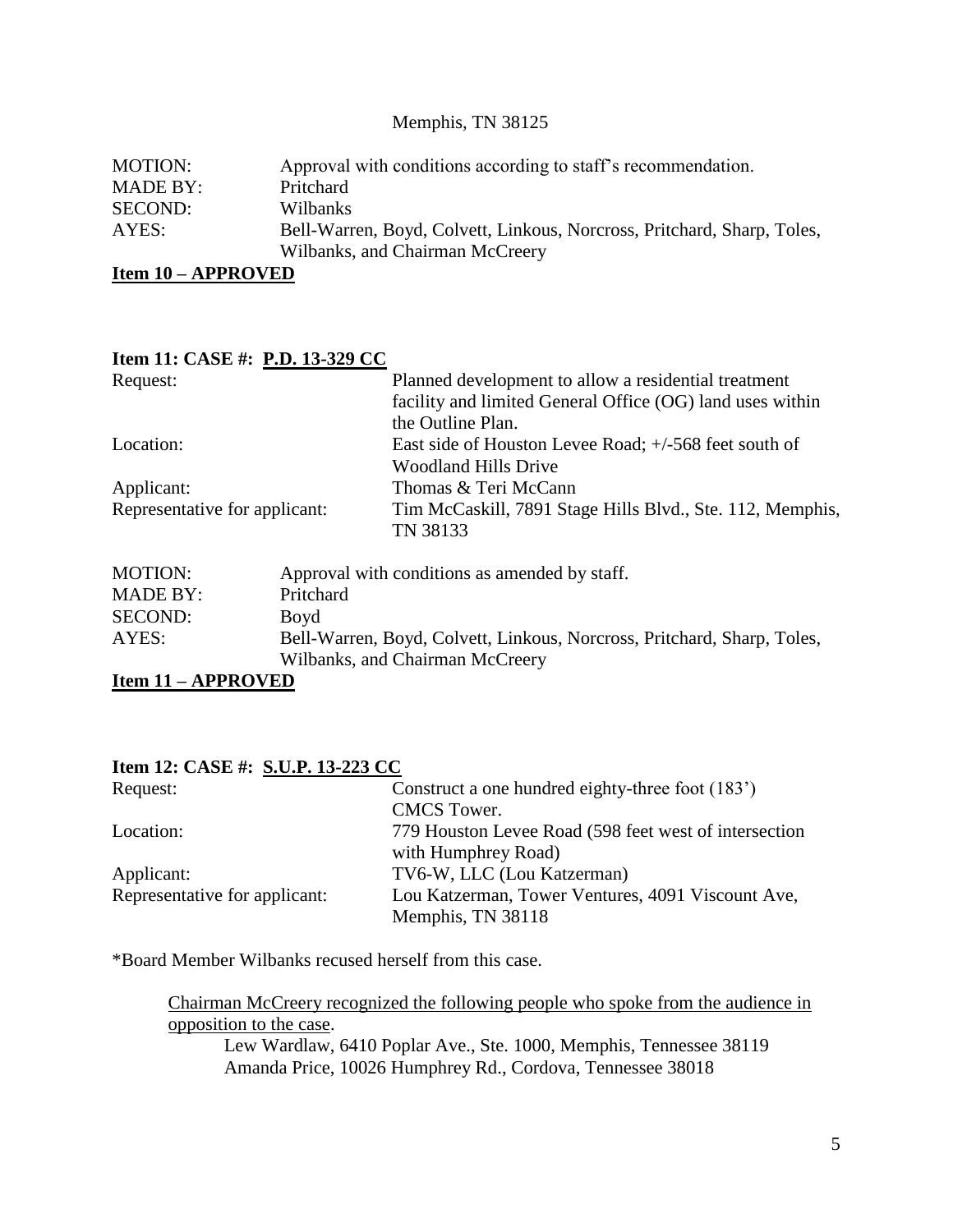### Memphis, TN 38125

| MOTION:         | Approval with conditions according to staff's recommendation.           |
|-----------------|-------------------------------------------------------------------------|
| <b>MADE BY:</b> | Pritchard                                                               |
| SECOND:         | <b>Wilbanks</b>                                                         |
| AYES:           | Bell-Warren, Boyd, Colvett, Linkous, Norcross, Pritchard, Sharp, Toles, |
|                 | Wilbanks, and Chairman McCreery                                         |
|                 |                                                                         |

**Item 10 – APPROVED**

# **Item 11: CASE #: P.D. 13-329 CC** Request: Planned development to allow a residential treatment facility and limited General Office (OG) land uses within the Outline Plan. Location: East side of Houston Levee Road; +/-568 feet south of Woodland Hills Drive Applicant: Thomas & Teri McCann Representative for applicant: Tim McCaskill, 7891 Stage Hills Blvd., Ste. 112, Memphis, TN 38133

| <b>MOTION:</b>  | Approval with conditions as amended by staff.                                                              |
|-----------------|------------------------------------------------------------------------------------------------------------|
| <b>MADE BY:</b> | Pritchard                                                                                                  |
| SECOND:         | Boyd                                                                                                       |
| AYES:           | Bell-Warren, Boyd, Colvett, Linkous, Norcross, Pritchard, Sharp, Toles,<br>Wilbanks, and Chairman McCreery |

**Item 11 – APPROVED**

| Item 12: CASE #: S.U.P. 13-223 CC |                                                               |
|-----------------------------------|---------------------------------------------------------------|
| Request:                          | Construct a one hundred eighty-three foot (183 <sup>'</sup> ) |
|                                   | <b>CMCS</b> Tower.                                            |
| Location:                         | 779 Houston Levee Road (598 feet west of intersection         |
|                                   | with Humphrey Road)                                           |
| Applicant:                        | TV6-W, LLC (Lou Katzerman)                                    |
| Representative for applicant:     | Lou Katzerman, Tower Ventures, 4091 Viscount Ave,             |
|                                   | Memphis, TN 38118                                             |

\*Board Member Wilbanks recused herself from this case.

Chairman McCreery recognized the following people who spoke from the audience in opposition to the case.

Lew Wardlaw, 6410 Poplar Ave., Ste. 1000, Memphis, Tennessee 38119 Amanda Price, 10026 Humphrey Rd., Cordova, Tennessee 38018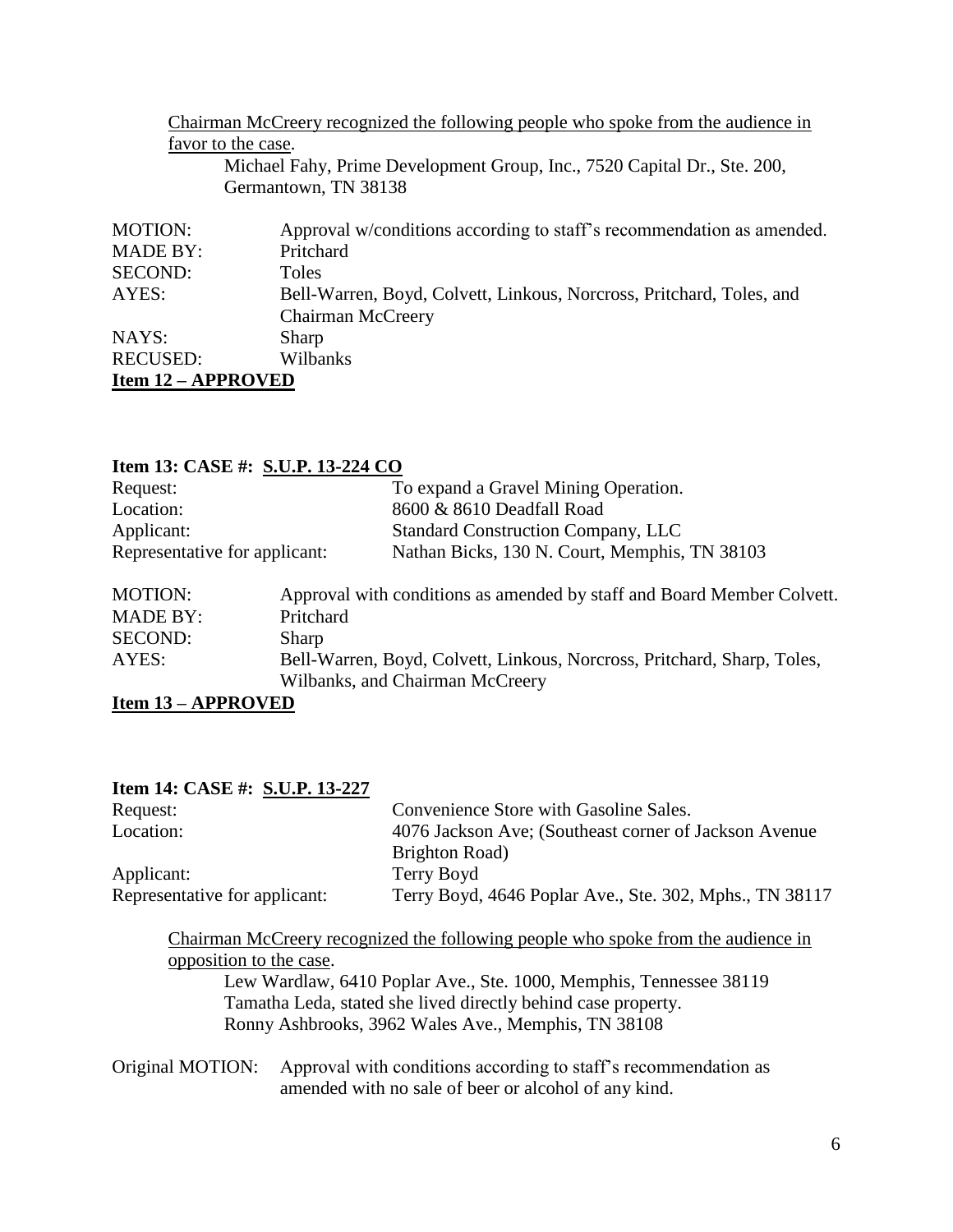|                           | Chairman McCreery recognized the following people who spoke from the audience in                 |
|---------------------------|--------------------------------------------------------------------------------------------------|
|                           | favor to the case.                                                                               |
|                           | Michael Fahy, Prime Development Group, Inc., 7520 Capital Dr., Ste. 200,<br>Germantown, TN 38138 |
| <b>MOTION:</b>            | Approval w/conditions according to staff's recommendation as amended.                            |
| <b>MADE BY:</b>           | Pritchard                                                                                        |
| <b>SECOND:</b>            | <b>Toles</b>                                                                                     |
| AYES:                     | Bell-Warren, Boyd, Colvett, Linkous, Norcross, Pritchard, Toles, and                             |
|                           | Chairman McCreery                                                                                |
| NAYS:                     | Sharp                                                                                            |
| <b>RECUSED:</b>           | Wilbanks                                                                                         |
| <b>Item 12 – APPROVED</b> |                                                                                                  |

| Item 13: CASE #: S.U.P. 13-224 CO |                                                                         |
|-----------------------------------|-------------------------------------------------------------------------|
|                                   | To expand a Gravel Mining Operation.                                    |
|                                   | 8600 & 8610 Deadfall Road                                               |
|                                   | <b>Standard Construction Company, LLC</b>                               |
| Representative for applicant:     | Nathan Bicks, 130 N. Court, Memphis, TN 38103                           |
|                                   | Approval with conditions as amended by staff and Board Member Colvett.  |
| Pritchard                         |                                                                         |
| Sharp                             |                                                                         |
|                                   | Bell-Warren, Boyd, Colvett, Linkous, Norcross, Pritchard, Sharp, Toles, |
|                                   | Wilbanks, and Chairman McCreery                                         |
|                                   |                                                                         |

**Item 13 – APPROVED**

| Item 14: CASE #: S.U.P. 13-227 |                                                                                                                                                                                                                         |
|--------------------------------|-------------------------------------------------------------------------------------------------------------------------------------------------------------------------------------------------------------------------|
| Request:                       | Convenience Store with Gasoline Sales.                                                                                                                                                                                  |
| Location:                      | 4076 Jackson Ave; (Southeast corner of Jackson Avenue)                                                                                                                                                                  |
|                                | Brighton Road)                                                                                                                                                                                                          |
| Applicant:                     | Terry Boyd                                                                                                                                                                                                              |
| Representative for applicant:  | Terry Boyd, 4646 Poplar Ave., Ste. 302, Mphs., TN 38117                                                                                                                                                                 |
| opposition to the case.        | Chairman McCreery recognized the following people who spoke from the audience in<br>Lew Wardlaw, 6410 Poplar Ave., Ste. 1000, Memphis, Tennessee 38119<br>Tamatha Leda, stated she lived directly behind case property. |
|                                | Ronny Ashbrooks, 3962 Wales Ave., Memphis, TN 38108                                                                                                                                                                     |
| Original MOTION:               | Approval with conditions according to staff's recommendation as<br>amended with no sale of beer or alcohol of any kind.                                                                                                 |